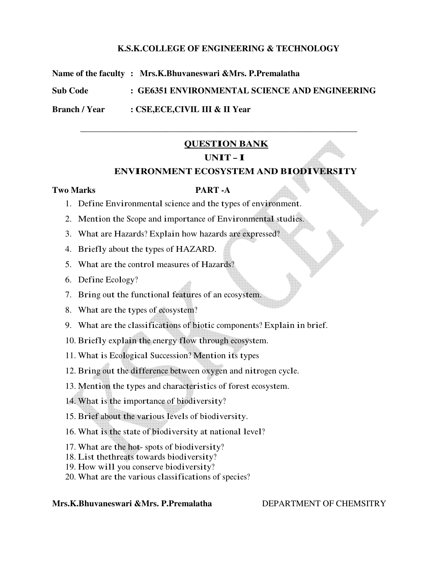### **K.S.K.COLLEGE OF ENGINEERING & TECHNOLOGY**

**Name of the faculty : Mrs.K.Bhuvaneswari &Mrs. P.Premalatha** 

**Sub Code : GE6351 ENVIRONMENTAL SCIENCE AND ENGINEERING** 

**Branch / Year : CSE,ECE,CIVIL III & II Year** 

## **QUESTION BANK**

\_\_\_\_\_\_\_\_\_\_\_\_\_\_\_\_\_\_\_\_\_\_\_\_\_\_\_\_\_\_\_\_\_\_\_\_\_\_\_\_\_\_\_\_\_\_\_\_\_\_\_\_\_\_\_\_\_\_\_\_\_\_\_\_\_\_\_\_\_\_\_

## **UNIT – I**

#### **ENVIRONMENT ECOSYSTEM AND BIODIVERSITY**

#### **Two Marks PART -A**

- 1. Define Environmental science and the types of environment.
- 2. Mention the Scope and importance of Environmental studies.
- 3. What are Hazards? Explain how hazards are expressed?
- 4. Briefly about the types of HAZARD.
- 5. What are the control measures of Hazards?
- 6. Define Ecology?
- 7. Bring out the functional features of an ecosystem.
- 8. What are the types of ecosystem?
- 9. What are the classifications of biotic components? Explain in brief.
- 10. Briefly explain the energy flow through ecosystem.
- 11. What is Ecological Succession? Mention its types
- 12. Bring out the difference between oxygen and nitrogen cycle.
- 13. Mention the types and characteristics of forest ecosystem.
- 14. What is the importance of biodiversity?
- 15. Brief about the various levels of biodiversity.
- 16. What is the state of biodiversity at national level?
- 17. What are the hot- spots of biodiversity?
- 18. List thethreats towards biodiversity?
- 19. How will you conserve biodiversity?
- 20. What are the various classifications of species?

**Mrs.K.Bhuvaneswari &Mrs. P.Premalatha** DEPARTMENT OF CHEMSITRY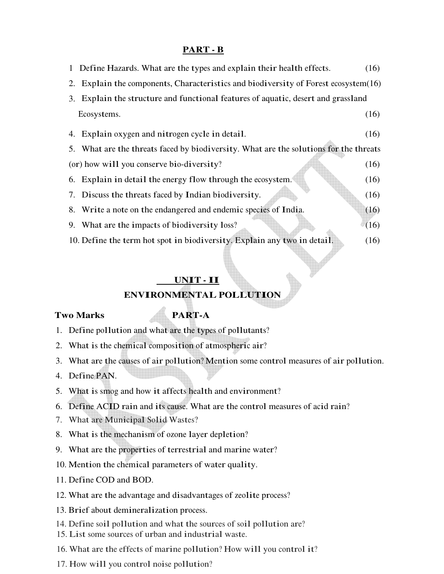## **PART - B**

| 1 Define Hazards. What are the types and explain their health effects.                | (16) |
|---------------------------------------------------------------------------------------|------|
| 2. Explain the components, Characteristics and biodiversity of Forest ecosystem(16)   |      |
| Explain the structure and functional features of aquatic, desert and grassland<br>3.  |      |
| Ecosystems.                                                                           | (16) |
| 4. Explain oxygen and nitrogen cycle in detail.                                       | (16) |
| 5. What are the threats faced by biodiversity. What are the solutions for the threats |      |
| (or) how will you conserve bio-diversity?                                             | (16) |
| 6. Explain in detail the energy flow through the ecosystem.                           | (16) |
| 7. Discuss the threats faced by Indian biodiversity.                                  | (16) |
| 8. Write a note on the endangered and endemic species of India.                       | (16) |
| 9. What are the impacts of biodiversity loss?                                         | (16) |
| 10. Define the term hot spot in biodiversity. Explain any two in detail.              | (16) |

## **UNIT - II**

#### **ENVIRONMENTAL POLLUTION**

#### **Two Marks PART-A**

- 1. Define pollution and what are the types of pollutants?
- 2. What is the chemical composition of atmospheric air?
- 3. What are the causes of air pollution? Mention some control measures of air pollution.
- 4. Define PAN.
- 5. What is smog and how it affects health and environment?
- 6. Define ACID rain and its cause. What are the control measures of acid rain?
- 7. What are Municipal Solid Wastes?
- 8. What is the mechanism of ozone layer depletion?
- 9. What are the properties of terrestrial and marine water?
- 10. Mention the chemical parameters of water quality.
- 11. Define COD and BOD.
- 12. What are the advantage and disadvantages of zeolite process?
- 13. Brief about demineralization process.
- 14. Define soil pollution and what the sources of soil pollution are?
- 15. List some sources of urban and industrial waste.
- 16. What are the effects of marine pollution? How will you control it?
- 17. How will you control noise pollution?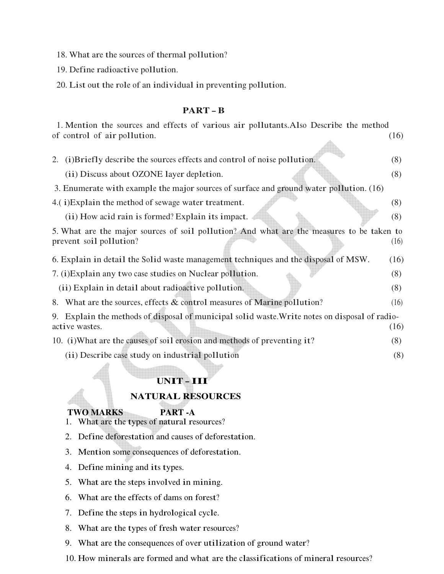- 18. What are the sources of thermal pollution?
- 19. Define radioactive pollution.
- 20. List out the role of an individual in preventing pollution.

#### **PART – B**

| 1. Mention the sources and effects of various air pollutants. Also Describe the method         |      |
|------------------------------------------------------------------------------------------------|------|
| of control of air pollution.                                                                   | (16) |
|                                                                                                |      |
| 2. (i)Briefly describe the sources effects and control of noise pollution.                     | (8)  |
| (ii) Discuss about OZONE layer depletion.                                                      | (8)  |
| 3. Enumerate with example the major sources of surface and ground water pollution. (16)        |      |
| 4.(i)Explain the method of sewage water treatment.                                             | (8)  |
| (ii) How acid rain is formed? Explain its impact.                                              | (8)  |
| 5. What are the major sources of soil pollution? And what are the measures to be taken to      |      |
| prevent soil pollution?                                                                        | (16) |
| 6. Explain in detail the Solid waste management techniques and the disposal of MSW.            | (16) |
| 7. (i) Explain any two case studies on Nuclear pollution.                                      | (8)  |
| (ii) Explain in detail about radioactive pollution.                                            | (8)  |
| 8. What are the sources, effects & control measures of Marine pollution?                       | (16) |
| 9. Explain the methods of disposal of municipal solid waste. Write notes on disposal of radio- |      |
| active wastes.                                                                                 | (16) |
| 10. (i) What are the causes of soil erosion and methods of preventing it?                      | (8)  |
| (ii) Describe case study on industrial pollution                                               | (8)  |
|                                                                                                |      |
| UNIT-III                                                                                       |      |
| <b>NATURAL RESOURCES</b>                                                                       |      |

## **TWO MARKS PART -A**

- 1. What are the types of natural resources?
- 2. Define deforestation and causes of deforestation.
- 3. Mention some consequences of deforestation.
- 4. Define mining and its types.
- 5. What are the steps involved in mining.
- 6. What are the effects of dams on forest?
- 7. Define the steps in hydrological cycle.
- 8. What are the types of fresh water resources?
- 9. What are the consequences of over utilization of ground water?
- 10. How minerals are formed and what are the classifications of mineral resources?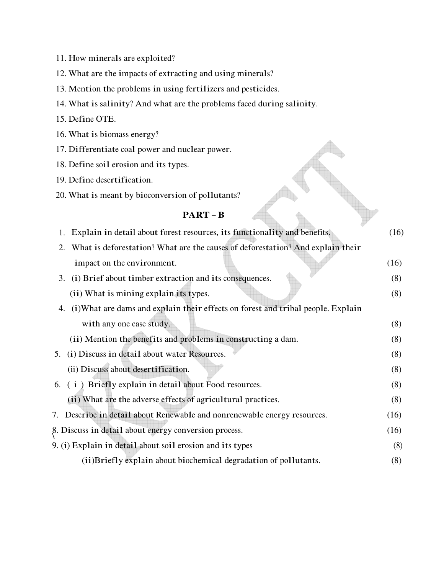- 11. How minerals are exploited?
- 12. What are the impacts of extracting and using minerals?
- 13. Mention the problems in using fertilizers and pesticides.
- 14. What is salinity? And what are the problems faced during salinity.
- 15. Define OTE.
- 16. What is biomass energy?
- 17. Differentiate coal power and nuclear power.
- 18. Define soil erosion and its types.
- 19. Define desertification.
- 20. What is meant by bioconversion of pollutants?

### **PART – B**

| Explain in detail about forest resources, its functionality and benefits.<br>1.      | (16) |
|--------------------------------------------------------------------------------------|------|
| What is deforestation? What are the causes of deforestation? And explain their<br>2. |      |
| impact on the environment.                                                           | (16) |
| (i) Brief about timber extraction and its consequences.<br>3.                        | (8)  |
| (ii) What is mining explain its types.                                               | (8)  |
| 4. (i) What are dams and explain their effects on forest and tribal people. Explain  |      |
| with any one case study.                                                             | (8)  |
| (ii) Mention the benefits and problems in constructing a dam.                        | (8)  |
| 5. (i) Discuss in detail about water Resources.                                      | (8)  |
| (ii) Discuss about desertification.                                                  | (8)  |
| 6. (i) Briefly explain in detail about Food resources.                               | (8)  |
| (ii) What are the adverse effects of agricultural practices.                         | (8)  |
| 7. Describe in detail about Renewable and nonrenewable energy resources.             | (16) |
| 8. Discuss in detail about energy conversion process.                                | (16) |
| 9. (i) Explain in detail about soil erosion and its types                            | (8)  |
| (ii) Briefly explain about biochemical degradation of pollutants.                    | (8)  |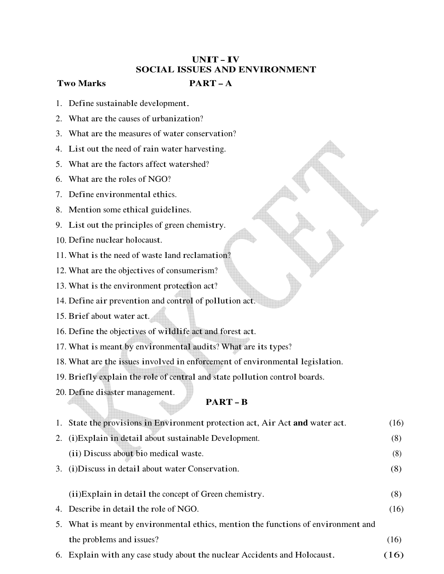## **UNIT – IV SOCIAL ISSUES AND ENVIRONMENT**

### **Two Marks PART – A**

- 1. Define sustainable development.
- 2. What are the causes of urbanization?
- 3. What are the measures of water conservation?
- 4. List out the need of rain water harvesting.
- 5. What are the factors affect watershed?
- 6. What are the roles of NGO?
- 7. Define environmental ethics.
- 8. Mention some ethical guidelines.
- 9. List out the principles of green chemistry.
- 10. Define nuclear holocaust.
- 11. What is the need of waste land reclamation?
- 12. What are the objectives of consumerism?
- 13. What is the environment protection act?
- 14. Define air prevention and control of pollution act.
- 15. Brief about water act.
- 16. Define the objectives of wildlife act and forest act.
- 17. What is meant by environmental audits? What are its types?
- 18. What are the issues involved in enforcement of environmental legislation.
- 19. Briefly explain the role of central and state pollution control boards.
- 20. Define disaster management.

## **PART – B**

|    | 1. State the provisions in Environment protection act, Air Act and water act.      | (16) |
|----|------------------------------------------------------------------------------------|------|
| 2. | (i) Explain in detail about sustainable Development.                               | (8)  |
|    | (ii) Discuss about bio medical waste.                                              | (8)  |
|    | 3. (i) Discuss in detail about water Conservation.                                 | (8)  |
|    |                                                                                    |      |
|    | (ii) Explain in detail the concept of Green chemistry.                             | (8)  |
|    | 4. Describe in detail the role of NGO.                                             | (16) |
|    | 5. What is meant by environmental ethics, mention the functions of environment and |      |
|    | the problems and issues?                                                           | (16) |
|    | 6. Explain with any case study about the nuclear Accidents and Holocaust.          | (16) |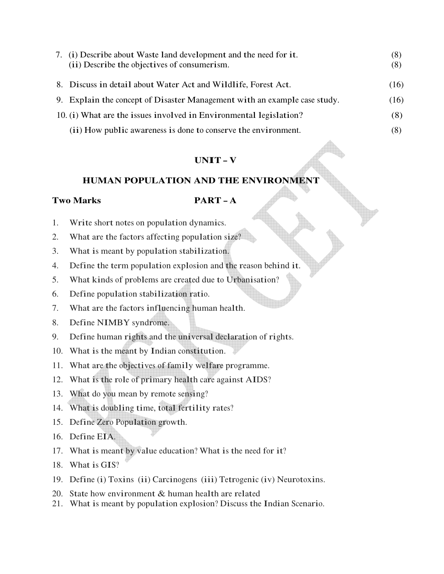| 7. | (i) Describe about Waste land development and the need for it.            | (8)  |
|----|---------------------------------------------------------------------------|------|
|    | (ii) Describe the objectives of consumerism.                              | (8)  |
|    | 8. Discuss in detail about Water Act and Wildlife, Forest Act.            | (16) |
|    | 9. Explain the concept of Disaster Management with an example case study. | (16) |
|    | 10. (i) What are the issues involved in Environmental legislation?        | (8)  |
|    | (ii) How public awareness is done to conserve the environment.            | (8)  |

## **UNIT – V**

## **HUMAN POPULATION AND THE ENVIRONMENT**

### **Two Marks PART – A**

- 1. Write short notes on population dynamics.
- 2. What are the factors affecting population size?
- 3. What is meant by population stabilization.
- 4. Define the term population explosion and the reason behind it.
- 5. What kinds of problems are created due to Urbanisation?
- 6. Define population stabilization ratio.
- 7. What are the factors influencing human health.
- 8. Define NIMBY syndrome.
- 9. Define human rights and the universal declaration of rights.
- 10. What is the meant by Indian constitution.
- 11. What are the objectives of family welfare programme.
- 12. What is the role of primary health care against AIDS?
- 13. What do you mean by remote sensing?
- 14. What is doubling time, total fertility rates?
- 15. Define Zero Population growth.
- 16. Define EIA.
- 17. What is meant by value education? What is the need for it?
- 18. What is GIS?
- 19. Define (i) Toxins (ii) Carcinogens (iii) Tetrogenic (iv) Neurotoxins.
- 20. State how environment & human health are related
- 21. What is meant by population explosion? Discuss the Indian Scenario.